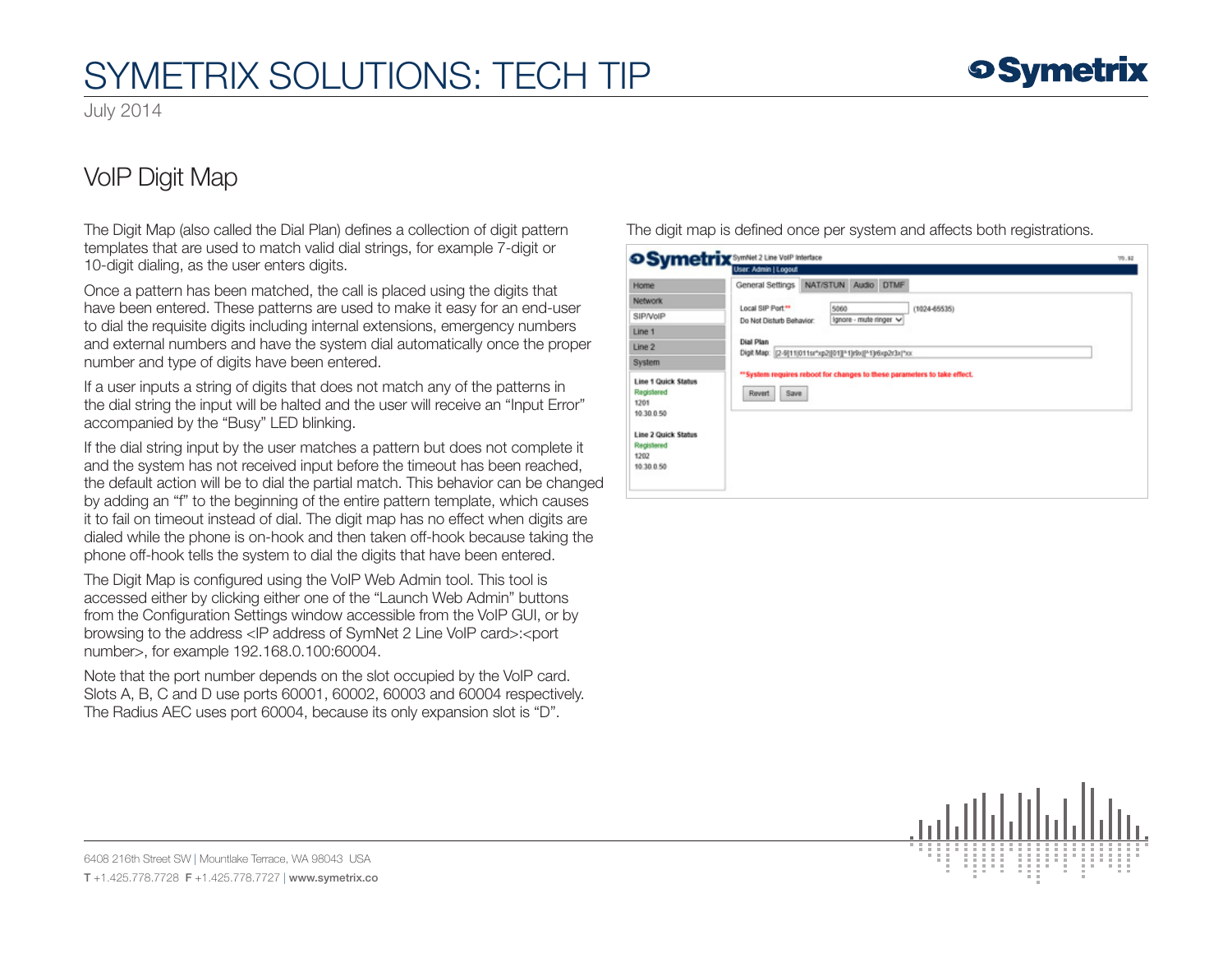# SYMETRIX SOLUTIONS: TECH TIP

July 2014

## VoIP Digit Map

The Digit Map (also called the Dial Plan) defines a collection of digit pattern templates that are used to match valid dial strings, for example 7-digit or 10-digit dialing, as the user enters digits.

Once a pattern has been matched, the call is placed using the digits that have been entered. These patterns are used to make it easy for an end-user to dial the requisite digits including internal extensions, emergency numbers and external numbers and have the system dial automatically once the proper number and type of digits have been entered.

If a user inputs a string of digits that does not match any of the patterns in the dial string the input will be halted and the user will receive an "Input Error" accompanied by the "Busy" LED blinking.

If the dial string input by the user matches a pattern but does not complete it and the system has not received input before the timeout has been reached, the default action will be to dial the partial match. This behavior can be changed by adding an "f" to the beginning of the entire pattern template, which causes it to fail on timeout instead of dial. The digit map has no effect when digits are dialed while the phone is on-hook and then taken off-hook because taking the phone off-hook tells the system to dial the digits that have been entered.

The Digit Map is configured using the VoIP Web Admin tool. This tool is accessed either by clicking either one of the "Launch Web Admin" buttons from the Configuration Settings window accessible from the VoIP GUI, or by browsing to the address <IP address of SymNet 2 Line VoIP card>:<port number>, for example 192.168.0.100:60004.

Note that the port number depends on the slot occupied by the VoIP card. Slots A, B, C and D use ports 60001, 60002, 60003 and 60004 respectively. The Radius AEC uses port 60004, because its only expansion slot is "D".

The digit map is defined once per system and affects both registrations.

| Home                                                           | General Settings         | NAT/STUN Audio DTMF                                                           |                                |  |                                                                         |  |  |  |
|----------------------------------------------------------------|--------------------------|-------------------------------------------------------------------------------|--------------------------------|--|-------------------------------------------------------------------------|--|--|--|
| <b>Network</b>                                                 | Local SIP Port."         |                                                                               |                                |  |                                                                         |  |  |  |
| SIP/VolP                                                       | Do Not Disturb Behavior: |                                                                               | 5060<br>Ignore - mute ringer v |  | $(1024-65535)$                                                          |  |  |  |
| Line 1                                                         |                          |                                                                               |                                |  |                                                                         |  |  |  |
| Line 2                                                         |                          | <b>Dial Plan</b><br>Digit Map: (2-9)11(011sr*xp2)[01][*1]r9x( *1)r6xp2r3x(*xx |                                |  |                                                                         |  |  |  |
| System                                                         |                          |                                                                               |                                |  |                                                                         |  |  |  |
| <b>Line 1 Quick Status</b><br>Registered<br>1201<br>10.30.0.50 | Save<br>Revert           |                                                                               |                                |  | "System requires reboot for changes to these parameters to take effect. |  |  |  |
|                                                                |                          |                                                                               |                                |  |                                                                         |  |  |  |

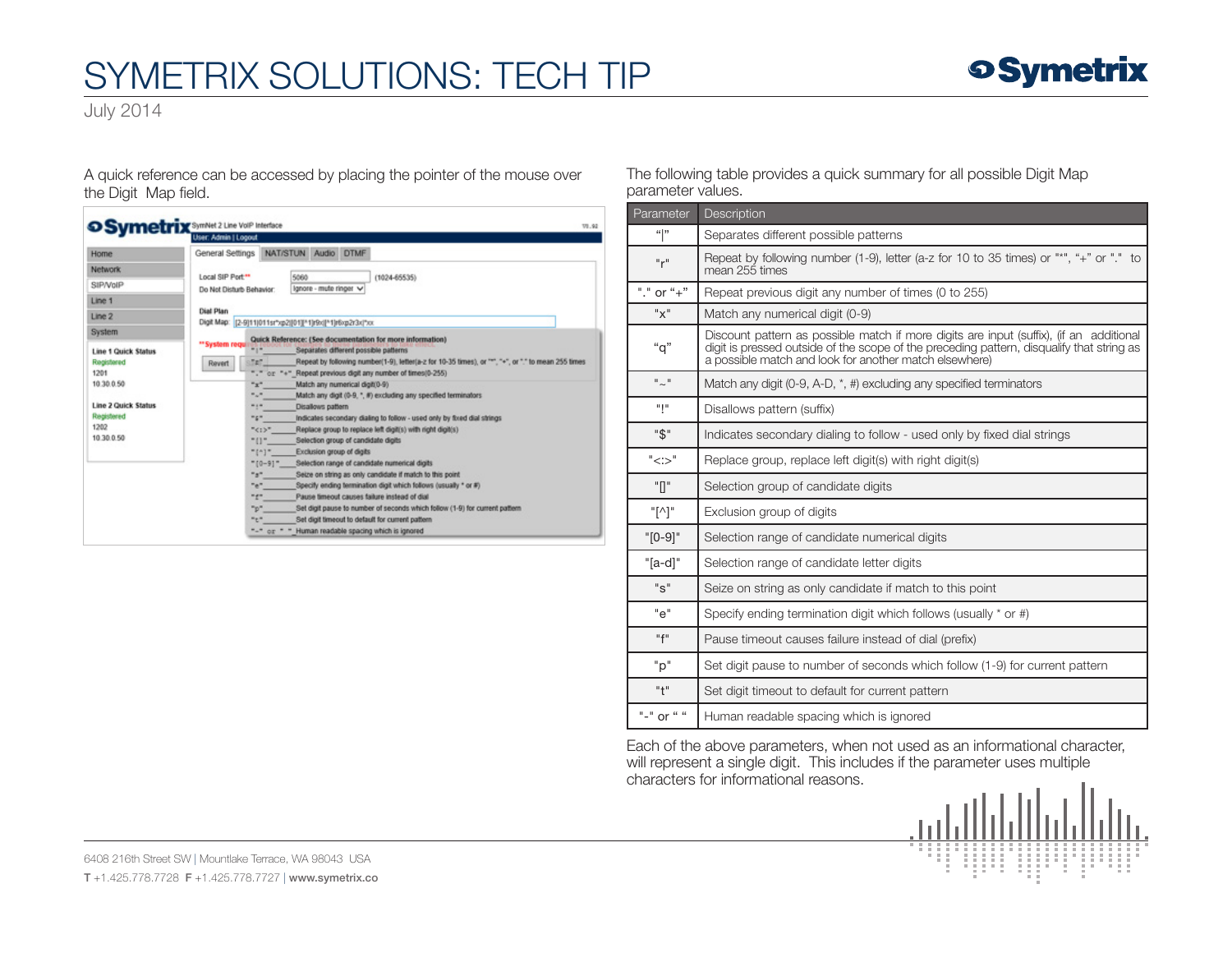# SYMETRIX SOLUTIONS: TECH TIP

July 2014

A quick reference can be accessed by placing the pointer of the mouse over the Digit Map field.

| Home                       | General Settings                                                                                            | NAT/STUN Audio DTMF                                                                                                                            |                                |  |                                                                             |  |  |  |
|----------------------------|-------------------------------------------------------------------------------------------------------------|------------------------------------------------------------------------------------------------------------------------------------------------|--------------------------------|--|-----------------------------------------------------------------------------|--|--|--|
| Network                    |                                                                                                             |                                                                                                                                                |                                |  |                                                                             |  |  |  |
| SIP/VoIP                   | Local SIP Port <sup>**</sup><br>Do Not Disturb Behavior:                                                    |                                                                                                                                                | 5060<br>Ignore - mute ringer v |  | $(1024 - 65535)$                                                            |  |  |  |
| Line 1                     |                                                                                                             |                                                                                                                                                |                                |  |                                                                             |  |  |  |
| Line 2                     | <b>Dial Plan</b>                                                                                            |                                                                                                                                                |                                |  |                                                                             |  |  |  |
|                            | Digit Map:   [2-9]11 011sr"xp2  01][11]r9x  11 r6xp2r3x *xx                                                 |                                                                                                                                                |                                |  |                                                                             |  |  |  |
| System                     |                                                                                                             |                                                                                                                                                |                                |  |                                                                             |  |  |  |
| <b>Line 1 Quick Status</b> | ** System requir<br><b>Revert</b>                                                                           | Quick Reference: (See documentation for more information)<br>mp.<br>Separates different possible patterns                                      |                                |  |                                                                             |  |  |  |
| Registered                 |                                                                                                             | Set.<br>Repeat by following number(1-9), letter(a-z for 10-35 times), or """, "+", or "," to mean 255 times                                    |                                |  |                                                                             |  |  |  |
| 1201                       | or "+" Repeat previous digit any number of times(0-255).                                                    |                                                                                                                                                |                                |  |                                                                             |  |  |  |
| 10 30 0.50                 | $x^*$<br>Match any numerical digitit0-9)                                                                    |                                                                                                                                                |                                |  |                                                                             |  |  |  |
|                            |                                                                                                             | $\mathbb{Z}_{\geq 0}$<br>Match any digit (0-9, ", #) excluding any specified terminators.                                                      |                                |  |                                                                             |  |  |  |
| <b>Line 2 Quick Status</b> | man<br>Disallows pattern<br>mgm.<br>Indicates secondary dialing to follow - used only by fixed dial strings |                                                                                                                                                |                                |  |                                                                             |  |  |  |
| Registered                 |                                                                                                             |                                                                                                                                                |                                |  |                                                                             |  |  |  |
| 1202<br>10 30 0.50         | "<:>"<br>Replace group to replace left digit(s) with right digit(s)                                         |                                                                                                                                                |                                |  |                                                                             |  |  |  |
|                            |                                                                                                             | no-<br>Selection group of candidate digits                                                                                                     |                                |  |                                                                             |  |  |  |
|                            |                                                                                                             | Exclusion group of digits<br>"faj"                                                                                                             |                                |  |                                                                             |  |  |  |
|                            |                                                                                                             | Selection range of candidate numerical digits<br>$"$ [0-9] <sup>-</sup><br>$n_B n$<br>Seize on string as only candidate if match to this point |                                |  |                                                                             |  |  |  |
|                            |                                                                                                             | nen.                                                                                                                                           |                                |  | Specify ending termination digit which follows (usually * or #)             |  |  |  |
|                            |                                                                                                             | $-1$                                                                                                                                           |                                |  | Pause timeout causes failure instead of dial                                |  |  |  |
|                            |                                                                                                             | $n_{\rm B}$                                                                                                                                    |                                |  | Set digit pause to number of seconds which follow (1-9) for current pattern |  |  |  |
|                            |                                                                                                             | mem                                                                                                                                            |                                |  | Set digit timeout to default for current pattern                            |  |  |  |
|                            |                                                                                                             | $H = 0$ or $H = 0$                                                                                                                             |                                |  | Human readable spacing which is ignored                                     |  |  |  |

#### The following table provides a quick summary for all possible Digit Map parameter values.

| Parameter                                  | <b>Description</b>                                                                                                                                                                                                                             |  |  |  |  |  |
|--------------------------------------------|------------------------------------------------------------------------------------------------------------------------------------------------------------------------------------------------------------------------------------------------|--|--|--|--|--|
| 66 33                                      | Separates different possible patterns                                                                                                                                                                                                          |  |  |  |  |  |
| "r"                                        | Repeat by following number (1-9), letter (a-z for 10 to 35 times) or "*", "+" or "." to<br>mean 255 times                                                                                                                                      |  |  |  |  |  |
| "." or " $+$ "                             | Repeat previous digit any number of times (0 to 255)                                                                                                                                                                                           |  |  |  |  |  |
| "x"                                        | Match any numerical digit (0-9)                                                                                                                                                                                                                |  |  |  |  |  |
| "q"                                        | Discount pattern as possible match if more digits are input (suffix), (if an additional<br>digit is pressed outside of the scope of the preceding pattern, disqualify that string as<br>a possible match and look for another match elsewhere) |  |  |  |  |  |
| $^{\prime\prime}$ $\sim$ $^{\prime\prime}$ | Match any digit (0-9, A-D, *, #) excluding any specified terminators                                                                                                                                                                           |  |  |  |  |  |
| արա                                        | Disallows pattern (suffix)                                                                                                                                                                                                                     |  |  |  |  |  |
| "\$"                                       | Indicates secondary dialing to follow - used only by fixed dial strings                                                                                                                                                                        |  |  |  |  |  |
| "<:>"                                      | Replace group, replace left digit(s) with right digit(s)                                                                                                                                                                                       |  |  |  |  |  |
| "П"                                        | Selection group of candidate digits                                                                                                                                                                                                            |  |  |  |  |  |
| "[시"                                       | Exclusion group of digits                                                                                                                                                                                                                      |  |  |  |  |  |
| $"$ [0-9] $"$                              | Selection range of candidate numerical digits                                                                                                                                                                                                  |  |  |  |  |  |
| $"[a-d]"$                                  | Selection range of candidate letter digits                                                                                                                                                                                                     |  |  |  |  |  |
| "s"                                        | Seize on string as only candidate if match to this point                                                                                                                                                                                       |  |  |  |  |  |
| "م"                                        | Specify ending termination digit which follows (usually * or #)                                                                                                                                                                                |  |  |  |  |  |
| "f"                                        | Pause timeout causes failure instead of dial (prefix)                                                                                                                                                                                          |  |  |  |  |  |
| "p"                                        | Set digit pause to number of seconds which follow (1-9) for current pattern                                                                                                                                                                    |  |  |  |  |  |
| "†"                                        | Set digit timeout to default for current pattern                                                                                                                                                                                               |  |  |  |  |  |
| "-" or " "                                 | Human readable spacing which is ignored                                                                                                                                                                                                        |  |  |  |  |  |

Each of the above parameters, when not used as an informational character, will represent a single digit. This includes if the parameter uses multiple characters for informational reasons.



6408 216th Street SW | Mountlake Terrace, WA 98043 USA T +1.425.778.7728 F +1.425.778.7727 | www.symetrix.co